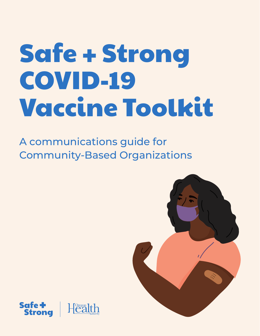# Safe + Strong COVID-19 Vaccine Toolkit

A communications guide for Community-Based Organizations



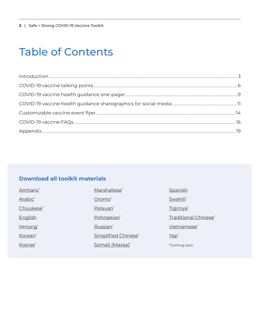<span id="page-1-0"></span>**2** | Safe + Strong COVID-19 Vaccine Toolkit

### Table of Contents

#### **Download all toolkit materials**

| Amharic*            | Marshallese <sup>*</sup> | Spanish              |
|---------------------|--------------------------|----------------------|
| Arabic <sup>*</sup> | Oromo <sup>*</sup>       | Swahili*             |
| Chuukese*           | Palauan <sup>*</sup>     | Tigrinya*            |
| English             | Pohnpeian <sup>*</sup>   | Traditional Chinese* |
| Hmong <sup>*</sup>  | Russian <sup>*</sup>     | Vietnamese*          |
| Korean*             | Simplified Chinese*      | $Yap^*$              |
| Kosrae*             | Somali (Maxaa)*          | *Coming soon         |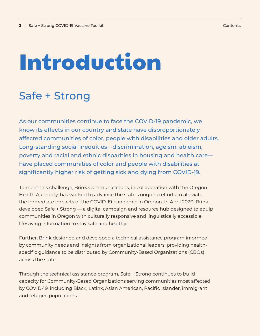# <span id="page-2-0"></span>Introduction

### Safe + Strong

As our communities continue to face the COVID-19 pandemic, we know its effects in our country and state have disproportionately affected communities of color, people with disabilities and older adults. Long-standing social inequities—discrimination, ageism, ableism, poverty and racial and ethnic disparities in housing and health care have placed communities of color and people with disabilities at significantly higher risk of getting sick and dying from COVID-19.

To meet this challenge, Brink Communications, in collaboration with the Oregon Health Authority, has worked to advance the state's ongoing efforts to alleviate the immediate impacts of the COVID-19 pandemic in Oregon. In April 2020, Brink developed Safe + Strong — a digital campaign and resource hub designed to equip communities in Oregon with culturally responsive and linguistically accessible lifesaving information to stay safe and healthy.

Further, Brink designed and developed a technical assistance program informed by community needs and insights from organizational leaders, providing healthspecific guidance to be distributed by Community-Based Organizations (CBOs) across the state.

Through the technical assistance program, Safe + Strong continues to build capacity for Community-Based Organizations serving communities most affected by COVID-19, including Black, Latinx, Asian American, Pacific Islander, immigrant and refugee populations.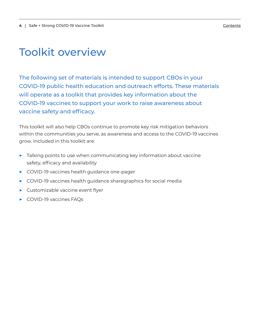### Toolkit overview

The following set of materials is intended to support CBOs in your COVID-19 public health education and outreach efforts. These materials will operate as a toolkit that provides key information about the COVID-19 vaccines to support your work to raise awareness about vaccine safety and efficacy.

This toolkit will also help CBOs continue to promote key risk mitigation behaviors within the communities you serve, as awareness and access to the COVID-19 vaccines grow. Included in this toolkit are:

- ▶ Talking points to use when communicating key information about vaccine safety, efficacy and availability
- ▶ COVID-19 vaccines health guidance one-pager
- ▶ COVID-19 vaccines health guidance sharegraphics for social media
- ▶ Customizable vaccine event flyer
- ▶ COVID-19 vaccines FAQs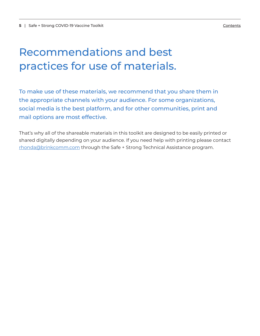### Recommendations and best practices for use of materials.

To make use of these materials, we recommend that you share them in the appropriate channels with your audience. For some organizations, social media is the best platform, and for other communities, print and mail options are most effective.

That's why all of the shareable materials in this toolkit are designed to be easily printed or shared digitally depending on your audience. If you need help with printing please contact [rhonda@brinkcomm.com](mailto:rhonda%40brinkcomm.com?subject=) through the Safe + Strong Technical Assistance program.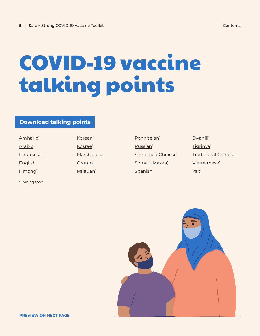# <span id="page-5-0"></span>COVID-19 vaccine talking points

#### **Download talking points**

Amharic<sup>\*</sup> Arabic<sup>\*</sup> Chuukese\* [English](https://drive.google.com/file/d/1Jb-bci6JSlhbe2ZeLtyLRP76wjqnZzkE/view) Hmong\*

\*Coming soon

Korean\* Kosrae\* Marshallese\* Oromo\* Palauan\*

Pohnpeian\* Russian\* Simplified Chinese\* Somali (Maxaa)\* [Spanish](https://drive.google.com/file/d/1L1LVgzkjxQRYf2nZSwQW1juCfvNvYLan/view)

Swahili\* Tigrinya\* Traditional Chinese\* Vietnamese<sup>\*</sup> Yap\*

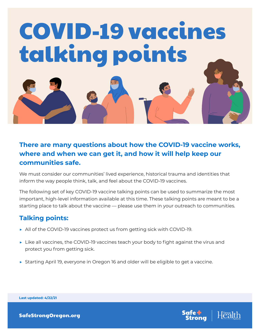

#### **There are many questions about how the COVID-19 vaccine works, where and when we can get it, and how it will help keep our communities safe.**

We must consider our communities' lived experience, historical trauma and identities that inform the way people think, talk, and feel about the COVID-19 vaccines.

The following set of key COVID-19 vaccine talking points can be used to summarize the most important, high-level information available at this time. These talking points are meant to be a starting place to talk about the vaccine — please use them in your outreach to communities.

#### **Talking points:**

- ▶ All of the COVID-19 vaccines protect us from getting sick with COVID-19.
- ▶ Like all vaccines, the COVID-19 vaccines teach your body to fight against the virus and protect you from getting sick.
- ▶ Starting April 19, everyone in Oregon 16 and older will be eligible to get a vaccine.



**Last updated: 4/22/21**

SafeStrongOregon.org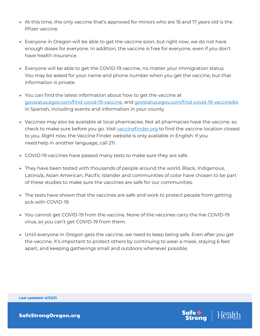- $\triangleright$  At this time, the only vaccine that's approved for minors who are 16 and 17 years old is the Pfizer vaccine.
- ▶ Everyone in Oregon will be able to get the vaccine soon, but right now, we do not have enough doses for everyone. In addition, the vaccine is free for everyone, even if you don't have health insurance.
- $\triangleright$  Everyone will be able to get the COVID-19 vaccine, no matter your immigration status. You may be asked for your name and phone number when you get the vaccine, but that information is private.
- $\triangleright$  You can find the latest information about how to get the vaccine at govstatus.egov.com/find-covid-19-vaccine, and govstatus.egov.com/find-covid-19-vaccine/es in Spanish, including events and information in your county.
- ▶ Vaccines may also be available at local pharmacies. Not all pharmacies have the vaccine, so check to make sure before you go. Visit vaccinefinder.org to find the vaccine location closest to you. Right now, the Vaccine Finder website is only available in English. If you need help in another language, call 211.
- $\triangleright$  COVID-19 vaccines have passed many tests to make sure they are safe.
- $\triangleright$  They have been tested with thousands of people around the world. Black, Indigenous, Latino/a, Asian American, Pacific Islander and communities of color have chosen to be part of these studies to make sure the vaccines are safe for our communities.
- $\triangleright$  The tests have shown that the vaccines are safe and work to protect people from getting sick with COVID-19.
- ▶ You cannot get COVID-19 from the vaccine. None of the vaccines carry the live COVID-19 virus, so you can't get COVID-19 from them.
- ▶ Until everyone in Oregon gets the vaccine, we need to keep being safe. Even after you get the vaccine, it's important to protect others by continuing to wear a mask, staying 6 feet apart, and keeping gatherings small and outdoors whenever possible.



**Last updated: 4/22/21**

SafeStrongOregon.org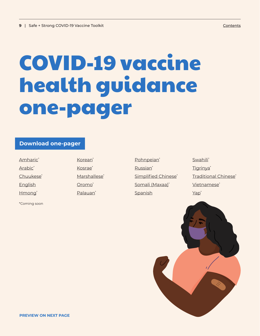# <span id="page-8-0"></span>COVID-19 vaccine health guidance one-pager

#### **Download one-pager**

Amharic<sup>\*</sup> Arabic<sup>\*</sup> Chuukese\* [English](https://drive.google.com/file/d/1TY2gZz1CNlBTJF2LXCX3456rxrUiKM-m/view) Hmong\*

\*Coming soon

Korean\* Kosrae\* Marshallese\* Oromo\* Palauan\*

Pohnpeian\* Russian\* Simplified Chinese\* Somali (Maxaa)\* **[Spanish](https://drive.google.com/file/d/1lKADoxq5wpdk0HNdD7n3RBrYchVCFrzQ/view)** 

Swahili\* Tigrinya\* Traditional Chinese\* Vietnamese<sup>\*</sup> Yap\*

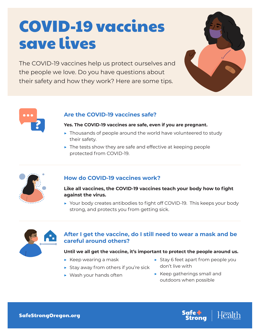### COVID-19 vaccines save lives

The COVID-19 vaccines help us protect ourselves and the people we love. Do you have questions about their safety and how they work? Here are some tips.





#### **Are the COVID-19 vaccines safe?**

#### **Yes. The COVID-19 vaccines are safe, even if you are pregnant.**

- ▶ Thousands of people around the world have volunteered to study their safety.
- $\blacktriangleright$  The tests show they are safe and effective at keeping people protected from COVID-19.



#### **How do COVID-19 vaccines work?**

#### Like all vaccines, the COVID-19 vaccines teach your body how to fight **against the virus.**

▶ Your body creates antibodies to fight off COVID-19. This keeps your body strong, and protects you from getting sick.



#### **After I get the vaccine, do I still need to wear a mask and be careful around others?**

#### **Until we all get the vaccine, it's important to protect the people around us.**

- $\triangleright$  Keep wearing a mask
- ▶ Stay away from others if you're sick
- ▶ Wash your hands often
- ▶ Stay 6 feet apart from people you don't live with
- ▶ Keep gatherings small and outdoors when possible

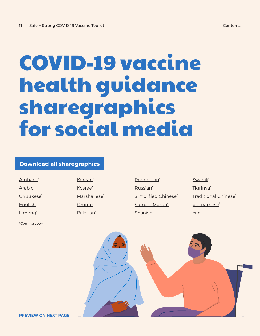## <span id="page-10-0"></span>COVID-19 vaccine health guidance sharegraphics for social media

#### **Download all sharegraphics**

Amharic<sup>\*</sup> Arabic<sup>\*</sup> Chuukese<sup>\*</sup> **[English](https://drive.google.com/drive/folders/1xkieZyHrWZ0FwpXm_fShtfm2ZOgEO0Lu)** Hmong\*

Korean<sup>\*</sup> Kosrae\* Marshallese<sup>\*</sup> Oromo\* Palauan\*

\*Coming soon

Pohnpeian<sup>\*</sup> Russian\* Simplified Chinese<sup>\*</sup> Somali (Maxaa)\* **[Spanish](https://drive.google.com/drive/folders/1Nki0yBYI7PH4HbrDgADeZFwm8Zd5Xq_F)** 

Swahili\* Tigrinya\* Traditional Chinese\* Vietnamese\* Yap\*

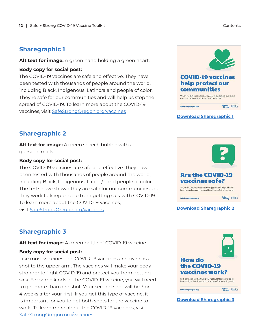#### **Sharegraphic 1**

**Alt text for image:** A green hand holding a green heart.

#### **Body copy for social post:**

The COVID-19 vaccines are safe and effective. They have been tested with thousands of people around the world, including Black, Indigenous, Latino/a and people of color. They're safe for our communities and will help us stop the spread of COVID-19. To learn more about the COVID-19 vaccines, visit [SafeStrongOregon.org/vaccines](http://SafeStrongOregon.org/vaccines)



#### **[Download Sharegraphic 1](https://drive.google.com/file/d/1_BEWhix0icSJuHFcoz9d1XqDfIhNKAmA/view)**

#### **Sharegraphic 2**

**Alt text for image:** A green speech bubble with a question mark

#### **Body copy for social post:**

The COVID-19 vaccines are safe and effective. They have been tested with thousands of people around the world, including Black, Indigenous, Latino/a and people of color. The tests have shown they are safe for our communities and they work to keep people from getting sick with COVID-19. To learn more about the COVID-19 vaccines, visit [SafeStrongOregon.org/vaccines](http://SafeStrongOregon.org/vaccines)



#### **[Download Sharegraphic 2](https://drive.google.com/file/d/1evt_W9qi05FQJXFQb9a64cGzD1Qzc7xt/view)**

#### **Sharegraphic 3**

**Alt text for image:** A green bottle of COVID-19 vaccine

#### **Body copy for social post:**

Like most vaccines, the COVID-19 vaccines are given as a shot to the upper arm. The vaccines will make your body stronger to fight COVID-19 and protect you from getting sick. For some kinds of the COVID-19 vaccine, you will need to get more than one shot. Your second shot will be 3 or 4 weeks after your first. If you get this type of vaccine, it is important for you to get both shots for the vaccine to work. To learn more about the COVID-19 vaccines, visit [SafeStrongOregon.org/vaccines](http://SafeStrongOregon.org/vaccines)



#### **[Download Sharegraphic 3](https://drive.google.com/file/d/1oIBafgfnFfZquJhGYHAlzk-uSE8NadDL/view)**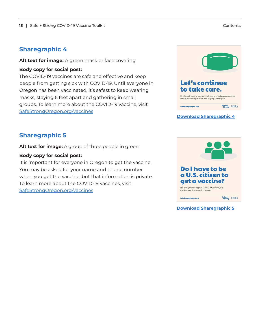#### **Sharegraphic 4**

**Alt text for image:** A green mask or face covering

#### **Body copy for social post:**

The COVID-19 vaccines are safe and effective and keep people from getting sick with COVID-19. Until everyone in Oregon has been vaccinated, it's safest to keep wearing masks, staying 6 feet apart and gathering in small groups. To learn more about the COVID-19 vaccine, visit [SafeStrongOregon.org/vaccines](http://SafeStrongOregon.org/vaccines)



#### **[Download Sharegraphic 4](https://drive.google.com/file/d/1pT7FHl0vdxUR9DbN64v4L4K19xsDaQ7r/view)**

#### **Sharegraphic 5**

**Alt text for image:** A group of three people in green

#### **Body copy for social post:**

It is important for everyone in Oregon to get the vaccine. You may be asked for your name and phone number when you get the vaccine, but that information is private. To learn more about the COVID-19 vaccines, visit [SafeStrongOregon.org/vaccines](http://SafeStrongOregon.org/vaccines)



**[Download Sharegraphic 5](https://drive.google.com/file/d/1vuywQ_6hs4aFda_4Ul6KxvGfAzb1thXg/view)**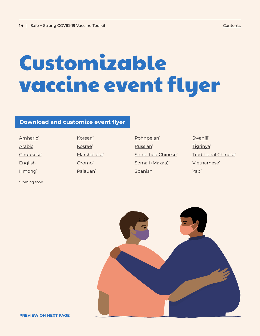# <span id="page-13-0"></span>Customizable vaccine event flyer

#### **Download and customize event flyer**

| Amharic*              |
|-----------------------|
| Arabic <sup>*</sup>   |
| Chuukese <sup>*</sup> |
| English               |
| Hmong <sup>*</sup>    |

\*Coming soon

Korean\* Kosrae\* Marshallese\* Oromo<sup>\*</sup> Palauan\*

Pohnpeian\* Russian\* Simplified Chinese\* Somali (Maxaa)\* [Spanish](https://drive.google.com/file/d/13pBG5jh7LNMeOiPh5PRpFI-dg2PsQqCt/view)

Swahili\* Tigrinya\* Traditional Chinese\* Vietnamese<sup>\*</sup> Yap\*



**PREVIEW ON NEXT PAGE**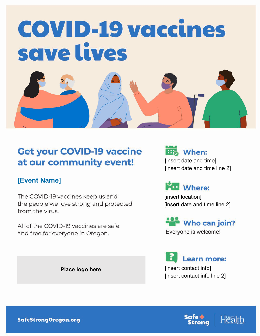

### **Get your COVID-19 vaccine** at our community event!

#### **[Event Name]**

The COVID-19 vaccines keep us and the people we love strong and protected from the virus.

All of the COVID-19 vaccines are safe and free for everyone in Oregon.

**Place logo here**





[insert location] [insert date and time line 2]

### Who can join?

Everyone is welcome!

Learn more: [insert contact info] [insert contact info line 2]

**SafeStrongOregon.org** 

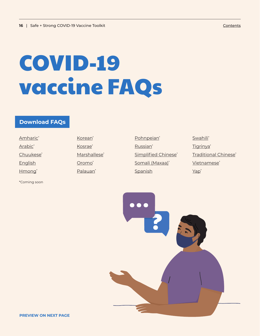# <span id="page-15-0"></span>COVID-19 vaccine FAQs

#### **Download FAQs**

Amharic<sup>\*</sup> Arabic<sup>\*</sup> Chuukese\* [English](https://drive.google.com/file/d/1r_SXKcmjpefCgG5tqqriS9I9dnhW5qSl/view) Hmong\*

\*Coming soon

Korean\* Kosrae\* Marshallese\* Oromo\* Palauan\*

Pohnpeian\* Russian\* Simplified Chinese\* Somali (Maxaa)\* **[Spanish](https://drive.google.com/file/d/1IUz49ykMlUHFiX1eUJkXeBKhYAchDgne/view)** 

Swahili\* Tigrinya\* Traditional Chinese\* Vietnamese<sup>\*</sup> Yap\*

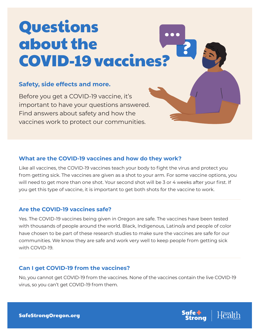## Questions about the COVID-19 vaccines?

#### **Safety, side effects and more.**

Before you get a COVID-19 vaccine, it's important to have your questions answered. Find answers about safety and how the vaccines work to protect our communities.

#### **What are the COVID-19 vaccines and how do they work?**

Like all vaccines, the COVID-19 vaccines teach your body to fight the virus and protect you from getting sick. The vaccines are given as a shot to your arm. For some vaccine options, you will need to get more than one shot. Your second shot will be 3 or 4 weeks after your first. If you get this type of vaccine, it is important to get both shots for the vaccine to work.

#### **Are the COVID-19 vaccines safe?**

Yes. The COVID-19 vaccines being given in Oregon are safe. The vaccines have been tested with thousands of people around the world. Black, Indigenous, Latino/a and people of color have chosen to be part of these research studies to make sure the vaccines are safe for our communities. We know they are safe and work very well to keep people from getting sick with COVID-19.

#### **Can I get COVID-19 from the vaccines?**

No, you cannot get COVID-19 from the vaccines. None of the vaccines contain the live COVID-19 virus, so you can't get COVID-19 from them.

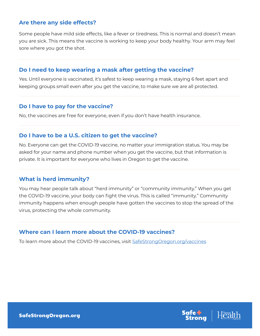#### **Are there any side effects?**

Some people have mild side effects, like a fever or tiredness. This is normal and doesn't mean you are sick. This means the vaccine is working to keep your body healthy. Your arm may feel sore where you got the shot.

#### **Do I need to keep wearing a mask after getting the vaccine?**

Yes. Until everyone is vaccinated, it's safest to keep wearing a mask, staying 6 feet apart and keeping groups small even after you get the vaccine, to make sure we are all protected.

#### **Do I have to pay for the vaccine?**

No, the vaccines are free for everyone, even if you don't have health insurance.

#### **Do I have to be a U.S. citizen to get the vaccine?**

No. Everyone can get the COVID-19 vaccine, no matter your immigration status. You may be asked for your name and phone number when you get the vaccine, but that information is private. It is important for everyone who lives in Oregon to get the vaccine.

#### **What is herd immunity?**

You may hear people talk about "herd immunity" or "community immunity." When you get the COVID-19 vaccine, your body can fight the virus. This is called "immunity." Community immunity happens when enough people have gotten the vaccines to stop the spread of the virus, protecting the whole community.

#### **Where can I learn more about the COVID-19 vaccines?**

To learn more about the COVID-19 vaccines, visit SafeStrongOregon.org/vaccines